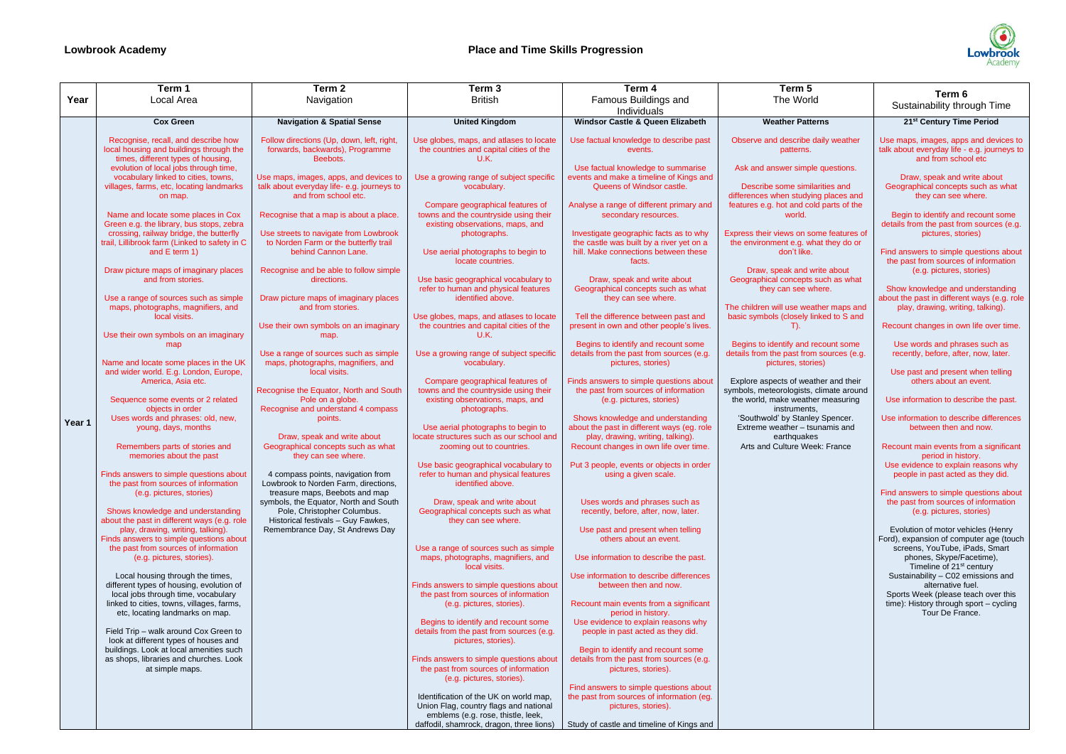|        | Term 1                                                                                                                                                                                                                                                                                                                                                                                                                                    | Term 2                                                                                                                                                                                                                                                                                                                             | Term <sub>3</sub>                                                                                                                                                                                                                                                                     | Term 4                                                                                                                                                                                                                                                                                                                    | Term 5                                                                                                                                                                                                                                                                                                |                                                                                                                                                                                                                                                                                                                 |
|--------|-------------------------------------------------------------------------------------------------------------------------------------------------------------------------------------------------------------------------------------------------------------------------------------------------------------------------------------------------------------------------------------------------------------------------------------------|------------------------------------------------------------------------------------------------------------------------------------------------------------------------------------------------------------------------------------------------------------------------------------------------------------------------------------|---------------------------------------------------------------------------------------------------------------------------------------------------------------------------------------------------------------------------------------------------------------------------------------|---------------------------------------------------------------------------------------------------------------------------------------------------------------------------------------------------------------------------------------------------------------------------------------------------------------------------|-------------------------------------------------------------------------------------------------------------------------------------------------------------------------------------------------------------------------------------------------------------------------------------------------------|-----------------------------------------------------------------------------------------------------------------------------------------------------------------------------------------------------------------------------------------------------------------------------------------------------------------|
| Year   | Local Area                                                                                                                                                                                                                                                                                                                                                                                                                                | Navigation                                                                                                                                                                                                                                                                                                                         | <b>British</b>                                                                                                                                                                                                                                                                        | Famous Buildings and<br>Individuals                                                                                                                                                                                                                                                                                       | The World                                                                                                                                                                                                                                                                                             | Term 6<br>Sustainability through Time                                                                                                                                                                                                                                                                           |
|        | <b>Cox Green</b>                                                                                                                                                                                                                                                                                                                                                                                                                          | <b>Navigation &amp; Spatial Sense</b>                                                                                                                                                                                                                                                                                              | <b>United Kingdom</b>                                                                                                                                                                                                                                                                 | Windsor Castle & Queen Elizabeth                                                                                                                                                                                                                                                                                          | <b>Weather Patterns</b>                                                                                                                                                                                                                                                                               | 21 <sup>st</sup> Century Time Period                                                                                                                                                                                                                                                                            |
|        | Recognise, recall, and describe how<br>local housing and buildings through the<br>times, different types of housing,<br>evolution of local jobs through time,<br>vocabulary linked to cities, towns,<br>villages, farms, etc, locating landmarks<br>on map.<br>Name and locate some places in Cox<br>Green e.g. the library, bus stops, zebra<br>crossing, railway bridge, the butterfly<br>trail, Lillibrook farm (Linked to safety in C | Follow directions (Up, down, left, right<br>forwards, backwards), Programme<br>Beebots.<br>Use maps, images, apps, and devices to<br>talk about everyday life- e.g. journeys to<br>and from school etc.<br>Recognise that a map is about a place<br>Use streets to navigate from Lowbrook<br>to Norden Farm or the butterfly trail | Use globes, maps, and atlases to locate<br>the countries and capital cities of the<br>U.K.<br>Use a growing range of subject specific<br>vocabulary.<br>Compare geographical features of<br>towns and the countryside using their<br>existing observations, maps, and<br>photographs. | Use factual knowledge to describe past<br>events.<br>Use factual knowledge to summarise<br>events and make a timeline of Kings and<br>Queens of Windsor castle.<br>Analyse a range of different primary and<br>secondary resources.<br>Investigate geographic facts as to why<br>the castle was built by a river yet on a | Observe and describe daily weather<br>patterns.<br>Ask and answer simple questions.<br>Describe some similarities and<br>differences when studying places and<br>features e.g. hot and cold parts of the<br>world.<br>Express their views on some features of<br>the environment e.g. what they do or | Use maps, images, apps and devices to<br>talk about everyday life - e.g. journeys to<br>and from school etc<br>Draw, speak and write about<br>Geographical concepts such as what<br>they can see where.<br>Begin to identify and recount some<br>details from the past from sources (e.g.<br>pictures, stories) |
|        | and E term 1)<br>Draw picture maps of imaginary places<br>and from stories.                                                                                                                                                                                                                                                                                                                                                               | behind Cannon Lane.<br>Recognise and be able to follow simple<br>directions.                                                                                                                                                                                                                                                       | Use aerial photographs to begin to<br>locate countries.<br>Use basic geographical vocabulary to                                                                                                                                                                                       | hill. Make connections between these<br>facts.<br>Draw, speak and write about                                                                                                                                                                                                                                             | don't like.<br>Draw, speak and write about<br>Geographical concepts such as what                                                                                                                                                                                                                      | Find answers to simple questions about<br>the past from sources of information<br>(e.g. pictures, stories)                                                                                                                                                                                                      |
|        | Use a range of sources such as simple<br>maps, photographs, magnifiers, and<br>local visits.                                                                                                                                                                                                                                                                                                                                              | Draw picture maps of imaginary places<br>and from stories.                                                                                                                                                                                                                                                                         | refer to human and physical features<br>identified above.<br>Use globes, maps, and atlases to locate                                                                                                                                                                                  | Geographical concepts such as what<br>they can see where.<br>Tell the difference between past and                                                                                                                                                                                                                         | they can see where.<br>The children will use weather maps and<br>basic symbols (closely linked to S and                                                                                                                                                                                               | Show knowledge and understanding<br>about the past in different ways (e.g. role<br>play, drawing, writing, talking).                                                                                                                                                                                            |
|        | Use their own symbols on an imaginary<br>map                                                                                                                                                                                                                                                                                                                                                                                              | Use their own symbols on an imaginary<br>map.                                                                                                                                                                                                                                                                                      | the countries and capital cities of the<br>U.K.                                                                                                                                                                                                                                       | present in own and other people's lives.<br>Begins to identify and recount some                                                                                                                                                                                                                                           | Begins to identify and recount some                                                                                                                                                                                                                                                                   | Recount changes in own life over time.<br>Use words and phrases such as                                                                                                                                                                                                                                         |
|        | Name and locate some places in the UK<br>and wider world. E.g. London, Europe,                                                                                                                                                                                                                                                                                                                                                            | Use a range of sources such as simple<br>maps, photographs, magnifiers, and<br>local visits.                                                                                                                                                                                                                                       | Use a growing range of subject specific<br>vocabulary.                                                                                                                                                                                                                                | details from the past from sources (e.g<br>pictures, stories)                                                                                                                                                                                                                                                             | details from the past from sources (e.g.<br>pictures, stories)                                                                                                                                                                                                                                        | recently, before, after, now, later.<br>Use past and present when telling                                                                                                                                                                                                                                       |
| Year 1 | America. Asia etc.<br>Sequence some events or 2 related<br>objects in order                                                                                                                                                                                                                                                                                                                                                               | Recognise the Equator, North and South<br>Pole on a globe.<br>Recognise and understand 4 compass                                                                                                                                                                                                                                   | Compare geographical features of<br>towns and the countryside using their<br>existing observations, maps, and<br>photographs.                                                                                                                                                         | Finds answers to simple questions about<br>the past from sources of information<br>(e.g. pictures, stories)                                                                                                                                                                                                               | Explore aspects of weather and their<br>symbols, meteorologists, climate around<br>the world, make weather measuring<br>instruments.                                                                                                                                                                  | others about an event.<br>Use information to describe the past.                                                                                                                                                                                                                                                 |
|        | Uses words and phrases: old, new,<br>young, days, months<br>Remembers parts of stories and                                                                                                                                                                                                                                                                                                                                                | points.<br>Draw, speak and write about<br>Geographical concepts such as what                                                                                                                                                                                                                                                       | Use aerial photographs to begin to<br>locate structures such as our school and<br>zooming out to countries.                                                                                                                                                                           | Shows knowledge and understanding<br>about the past in different ways (eg. role<br>play, drawing, writing, talking).<br>Recount changes in own life over time.                                                                                                                                                            | 'Southwold' by Stanley Spencer.<br>Extreme weather - tsunamis and<br>earthquakes<br>Arts and Culture Week: France                                                                                                                                                                                     | Use information to describe differences<br>between then and now.<br>Recount main events from a significant                                                                                                                                                                                                      |
|        | memories about the past<br>Finds answers to simple questions about<br>the past from sources of information<br>(e.g. pictures, stories)                                                                                                                                                                                                                                                                                                    | they can see where.<br>4 compass points, navigation from<br>Lowbrook to Norden Farm, directions,<br>treasure maps, Beebots and map                                                                                                                                                                                                 | Use basic geographical vocabulary to<br>refer to human and physical features<br>identified above.                                                                                                                                                                                     | Put 3 people, events or objects in order<br>using a given scale.                                                                                                                                                                                                                                                          |                                                                                                                                                                                                                                                                                                       | period in history.<br>Use evidence to explain reasons why<br>people in past acted as they did.<br>Find answers to simple questions about                                                                                                                                                                        |
|        | Shows knowledge and understanding<br>about the past in different ways (e.g. role                                                                                                                                                                                                                                                                                                                                                          | symbols, the Equator, North and South<br>Pole, Christopher Columbus.<br>Historical festivals - Guy Fawkes,                                                                                                                                                                                                                         | Draw, speak and write about<br>Geographical concepts such as what<br>they can see where.                                                                                                                                                                                              | Uses words and phrases such as<br>recently, before, after, now, later.                                                                                                                                                                                                                                                    |                                                                                                                                                                                                                                                                                                       | the past from sources of information<br>(e.g. pictures, stories)                                                                                                                                                                                                                                                |
|        | play, drawing, writing, talking).<br>Finds answers to simple questions about<br>the past from sources of information                                                                                                                                                                                                                                                                                                                      | Remembrance Day, St Andrews Day                                                                                                                                                                                                                                                                                                    | Use a range of sources such as simple                                                                                                                                                                                                                                                 | Use past and present when telling<br>others about an event.                                                                                                                                                                                                                                                               |                                                                                                                                                                                                                                                                                                       | Evolution of motor vehicles (Henry<br>Ford), expansion of computer age (touch<br>screens, YouTube, iPads, Smart                                                                                                                                                                                                 |
|        | (e.g. pictures, stories).                                                                                                                                                                                                                                                                                                                                                                                                                 |                                                                                                                                                                                                                                                                                                                                    | maps, photographs, magnifiers, and<br>local visits.                                                                                                                                                                                                                                   | Use information to describe the past.                                                                                                                                                                                                                                                                                     |                                                                                                                                                                                                                                                                                                       | phones, Skype/Facetime),<br>Timeline of 21 <sup>st</sup> century                                                                                                                                                                                                                                                |
|        | Local housing through the times,<br>different types of housing, evolution of<br>local jobs through time, vocabulary                                                                                                                                                                                                                                                                                                                       |                                                                                                                                                                                                                                                                                                                                    | Finds answers to simple questions about<br>the past from sources of information                                                                                                                                                                                                       | Use information to describe differences<br>between then and now.                                                                                                                                                                                                                                                          |                                                                                                                                                                                                                                                                                                       | Sustainability - C02 emissions and<br>alternative fuel.<br>Sports Week (please teach over this                                                                                                                                                                                                                  |
|        | linked to cities, towns, villages, farms,<br>etc, locating landmarks on map.                                                                                                                                                                                                                                                                                                                                                              |                                                                                                                                                                                                                                                                                                                                    | (e.g. pictures, stories).<br>Begins to identify and recount some                                                                                                                                                                                                                      | Recount main events from a significant<br>period in history.<br>Use evidence to explain reasons why                                                                                                                                                                                                                       |                                                                                                                                                                                                                                                                                                       | time): History through sport - cycling<br>Tour De France.                                                                                                                                                                                                                                                       |
|        | Field Trip - walk around Cox Green to<br>look at different types of houses and<br>buildings. Look at local amenities such                                                                                                                                                                                                                                                                                                                 |                                                                                                                                                                                                                                                                                                                                    | details from the past from sources (e.g.<br>pictures, stories).                                                                                                                                                                                                                       | people in past acted as they did.<br>Begin to identify and recount some                                                                                                                                                                                                                                                   |                                                                                                                                                                                                                                                                                                       |                                                                                                                                                                                                                                                                                                                 |
|        | as shops, libraries and churches. Look<br>at simple maps.                                                                                                                                                                                                                                                                                                                                                                                 |                                                                                                                                                                                                                                                                                                                                    | Finds answers to simple questions about<br>the past from sources of information<br>(e.g. pictures, stories).                                                                                                                                                                          | details from the past from sources (e.g.<br>pictures, stories).                                                                                                                                                                                                                                                           |                                                                                                                                                                                                                                                                                                       |                                                                                                                                                                                                                                                                                                                 |
|        |                                                                                                                                                                                                                                                                                                                                                                                                                                           |                                                                                                                                                                                                                                                                                                                                    | Identification of the UK on world map,<br>Union Flag, country flags and national<br>emblems (e.g. rose, thistle, leek,                                                                                                                                                                | Find answers to simple questions about<br>the past from sources of information (eg.<br>pictures, stories).                                                                                                                                                                                                                |                                                                                                                                                                                                                                                                                                       |                                                                                                                                                                                                                                                                                                                 |
|        |                                                                                                                                                                                                                                                                                                                                                                                                                                           |                                                                                                                                                                                                                                                                                                                                    | daffodil, shamrock, dragon, three lions)                                                                                                                                                                                                                                              | Study of castle and timeline of Kings and                                                                                                                                                                                                                                                                                 |                                                                                                                                                                                                                                                                                                       |                                                                                                                                                                                                                                                                                                                 |

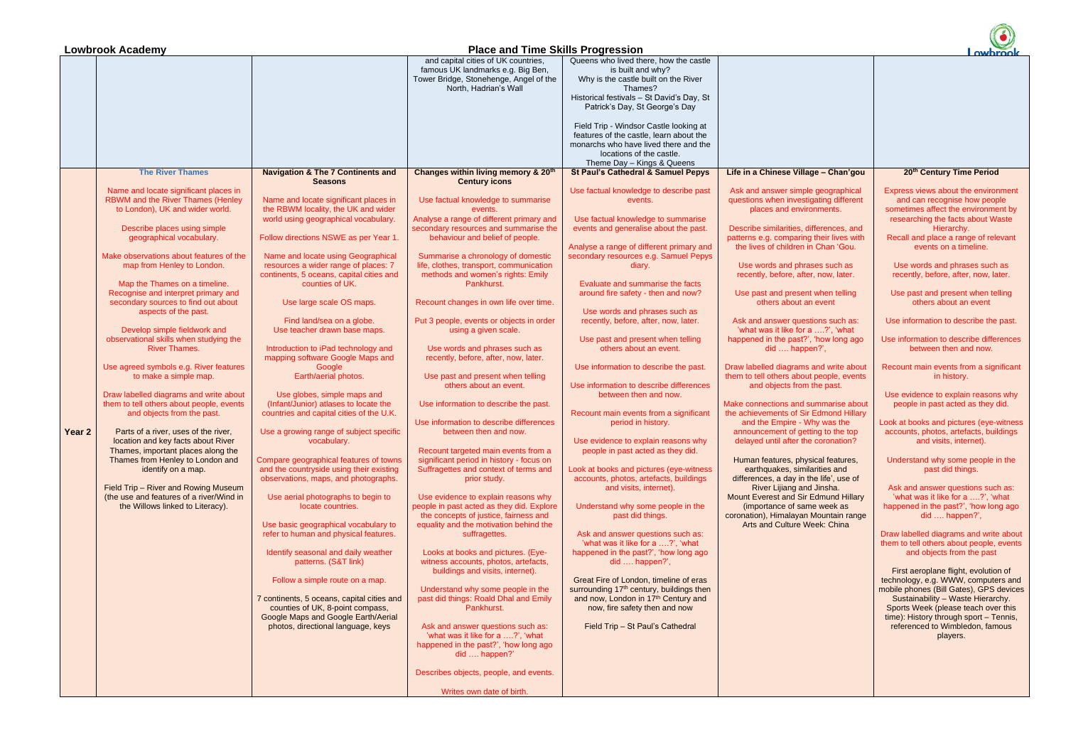|        | <b>Lowbrook Academy</b><br><b>Place and Time Skills Progression</b>                |                                                                                  |                                                                                  |                                                                                   |                                                                       | owbrook                                                                   |
|--------|------------------------------------------------------------------------------------|----------------------------------------------------------------------------------|----------------------------------------------------------------------------------|-----------------------------------------------------------------------------------|-----------------------------------------------------------------------|---------------------------------------------------------------------------|
|        |                                                                                    |                                                                                  | and capital cities of UK countries,                                              | Queens who lived there, how the castle                                            |                                                                       |                                                                           |
|        |                                                                                    |                                                                                  | famous UK landmarks e.g. Big Ben,                                                | is built and why?                                                                 |                                                                       |                                                                           |
|        |                                                                                    |                                                                                  | Tower Bridge, Stonehenge, Angel of the                                           | Why is the castle built on the River                                              |                                                                       |                                                                           |
|        |                                                                                    |                                                                                  | North, Hadrian's Wall                                                            | Thames?                                                                           |                                                                       |                                                                           |
|        |                                                                                    |                                                                                  |                                                                                  | Historical festivals - St David's Day, St                                         |                                                                       |                                                                           |
|        |                                                                                    |                                                                                  |                                                                                  | Patrick's Day, St George's Day                                                    |                                                                       |                                                                           |
|        |                                                                                    |                                                                                  |                                                                                  |                                                                                   |                                                                       |                                                                           |
|        |                                                                                    |                                                                                  |                                                                                  | Field Trip - Windsor Castle looking at<br>features of the castle, learn about the |                                                                       |                                                                           |
|        |                                                                                    |                                                                                  |                                                                                  | monarchs who have lived there and the                                             |                                                                       |                                                                           |
|        |                                                                                    |                                                                                  |                                                                                  | locations of the castle.                                                          |                                                                       |                                                                           |
|        |                                                                                    |                                                                                  |                                                                                  | Theme Day - Kings & Queens                                                        |                                                                       |                                                                           |
|        | <b>The River Thames</b>                                                            | <b>Navigation &amp; The 7 Continents and</b>                                     | Changes within living memory & 20 <sup>th</sup>                                  | <b>St Paul's Cathedral &amp; Samuel Pepys</b>                                     | Life in a Chinese Village - Chan'gou                                  | 20th Century Time Period                                                  |
|        |                                                                                    | <b>Seasons</b>                                                                   | <b>Century icons</b>                                                             |                                                                                   |                                                                       |                                                                           |
|        | Name and locate significant places in                                              |                                                                                  |                                                                                  | Use factual knowledge to describe past                                            | Ask and answer simple geographical                                    | Express views about the environment                                       |
|        | RBWM and the River Thames (Henley                                                  | Name and locate significant places in                                            | Use factual knowledge to summarise                                               | events.                                                                           | questions when investigating different                                | and can recognise how people                                              |
|        | to London), UK and wider world.                                                    | the RBWM locality, the UK and wider                                              | events.                                                                          |                                                                                   | places and environments.                                              | sometimes affect the environment by                                       |
|        |                                                                                    | world using geographical vocabulary.                                             | Analyse a range of different primary and                                         | Use factual knowledge to summarise                                                |                                                                       | researching the facts about Waste                                         |
|        | Describe places using simple                                                       |                                                                                  | secondary resources and summarise the                                            | events and generalise about the past.                                             | Describe similarities, differences, and                               | Hierarchy.                                                                |
|        | geographical vocabulary.                                                           | Follow directions NSWE as per Year 1.                                            | behaviour and belief of people.                                                  |                                                                                   | patterns e.g. comparing their lives with                              | Recall and place a range of relevant                                      |
|        |                                                                                    |                                                                                  |                                                                                  | Analyse a range of different primary and                                          | the lives of children in Chan 'Gou.                                   | events on a timeline.                                                     |
|        | Make observations about features of the                                            | Name and locate using Geographical                                               | Summarise a chronology of domestic                                               | secondary resources e.g. Samuel Pepys                                             |                                                                       |                                                                           |
|        | map from Henley to London.                                                         | resources a wider range of places: 7<br>continents, 5 oceans, capital cities and | life, clothes, transport, communication<br>methods and women's rights: Emily     | diary.                                                                            | Use words and phrases such as<br>recently, before, after, now, later. | Use words and phrases such as<br>recently, before, after, now, later.     |
|        | Map the Thames on a timeline.                                                      | counties of UK.                                                                  | Pankhurst.                                                                       | Evaluate and summarise the facts                                                  |                                                                       |                                                                           |
|        | Recognise and interpret primary and                                                |                                                                                  |                                                                                  | around fire safety - then and now?                                                | Use past and present when telling                                     | Use past and present when telling                                         |
|        | secondary sources to find out about                                                | Use large scale OS maps.                                                         | Recount changes in own life over time.                                           |                                                                                   | others about an event                                                 | others about an event                                                     |
|        | aspects of the past.                                                               |                                                                                  |                                                                                  | Use words and phrases such as                                                     |                                                                       |                                                                           |
|        |                                                                                    | Find land/sea on a globe.                                                        | Put 3 people, events or objects in order                                         | recently, before, after, now, later.                                              | Ask and answer questions such as:                                     | Use information to describe the past.                                     |
|        | Develop simple fieldwork and                                                       | Use teacher drawn base maps.                                                     | using a given scale.                                                             |                                                                                   | 'what was it like for a ?', 'what                                     |                                                                           |
|        | observational skills when studying the                                             |                                                                                  |                                                                                  | Use past and present when telling                                                 | happened in the past?', 'how long ago                                 | Use information to describe differences                                   |
|        | <b>River Thames.</b>                                                               | Introduction to iPad technology and                                              | Use words and phrases such as                                                    | others about an event.                                                            | did  happen?',                                                        | between then and now.                                                     |
|        |                                                                                    | mapping software Google Maps and                                                 | recently, before, after, now, later.                                             |                                                                                   |                                                                       |                                                                           |
|        | Use agreed symbols e.g. River features                                             | Google                                                                           |                                                                                  | Use information to describe the past.                                             | Draw labelled diagrams and write about                                | Recount main events from a significant                                    |
|        | to make a simple map.                                                              | Earth/aerial photos.                                                             | Use past and present when telling                                                |                                                                                   | them to tell others about people, events                              | in history.                                                               |
|        |                                                                                    |                                                                                  | others about an event.                                                           | Use information to describe differences<br>between then and now.                  | and objects from the past.                                            | Use evidence to explain reasons why                                       |
|        | Draw labelled diagrams and write about<br>them to tell others about people, events | Use globes, simple maps and<br>(Infant/Junior) atlases to locate the             | Use information to describe the past.                                            |                                                                                   | Make connections and summarise about                                  | people in past acted as they did.                                         |
|        | and objects from the past.                                                         | countries and capital cities of the U.K.                                         |                                                                                  | Recount main events from a significant                                            | the achievements of Sir Edmond Hillary                                |                                                                           |
|        |                                                                                    |                                                                                  | Use information to describe differences                                          | period in history.                                                                | and the Empire - Why was the                                          | Look at books and pictures (eye-witness                                   |
| Year 2 | Parts of a river, uses of the river,                                               | Use a growing range of subject specific                                          | between then and now.                                                            |                                                                                   | announcement of getting to the top                                    | accounts, photos, artefacts, buildings                                    |
|        | location and key facts about River                                                 | vocabulary.                                                                      |                                                                                  | Use evidence to explain reasons why                                               | delayed until after the coronation?                                   | and visits, internet).                                                    |
|        | Thames, important places along the                                                 |                                                                                  | Recount targeted main events from a                                              | people in past acted as they did.                                                 |                                                                       |                                                                           |
|        | Thames from Henley to London and                                                   | Compare geographical features of towns                                           | significant period in history - focus on                                         |                                                                                   | Human features, physical features,                                    | Understand why some people in the                                         |
|        | identify on a map.                                                                 | and the countryside using their existing                                         | Suffragettes and context of terms and                                            | Look at books and pictures (eye-witness                                           | earthquakes, similarities and                                         | past did things.                                                          |
|        |                                                                                    | observations, maps, and photographs.                                             | prior study.                                                                     | accounts, photos, artefacts, buildings                                            | differences, a day in the life', use of                               |                                                                           |
|        | Field Trip - River and Rowing Museum                                               |                                                                                  |                                                                                  | and visits, internet).                                                            | River Lijiang and Jinsha.                                             | Ask and answer questions such as:                                         |
|        | (the use and features of a river/Wind in<br>the Willows linked to Literacy).       | Use aerial photographs to begin to<br>locate countries.                          | Use evidence to explain reasons why<br>people in past acted as they did. Explore |                                                                                   | Mount Everest and Sir Edmund Hillary                                  | 'what was it like for a ?', 'what                                         |
|        |                                                                                    |                                                                                  | the concepts of justice, fairness and                                            | Understand why some people in the<br>past did things.                             | (importance of same week as<br>coronation), Himalayan Mountain range  | happened in the past?', 'how long ago<br>$did$ happen?',                  |
|        |                                                                                    | Use basic geographical vocabulary to                                             | equality and the motivation behind the                                           |                                                                                   | Arts and Culture Week: China                                          |                                                                           |
|        |                                                                                    | refer to human and physical features.                                            | suffragettes.                                                                    | Ask and answer questions such as:                                                 |                                                                       | Draw labelled diagrams and write about                                    |
|        |                                                                                    |                                                                                  |                                                                                  | 'what was it like for a ?', 'what                                                 |                                                                       | them to tell others about people, events                                  |
|        |                                                                                    | Identify seasonal and daily weather                                              | Looks at books and pictures. (Eye-                                               | happened in the past?', 'how long ago                                             |                                                                       | and objects from the past                                                 |
|        |                                                                                    | patterns. (S&T link)                                                             | witness accounts, photos, artefacts,                                             | did  happen?',                                                                    |                                                                       |                                                                           |
|        |                                                                                    |                                                                                  | buildings and visits, internet).                                                 |                                                                                   |                                                                       | First aeroplane flight, evolution of                                      |
|        |                                                                                    | Follow a simple route on a map.                                                  |                                                                                  | Great Fire of London, timeline of eras                                            |                                                                       | technology, e.g. WWW, computers and                                       |
|        |                                                                                    |                                                                                  | Understand why some people in the                                                | surrounding 17 <sup>th</sup> century, buildings then                              |                                                                       | mobile phones (Bill Gates), GPS devices                                   |
|        |                                                                                    | 7 continents, 5 oceans, capital cities and                                       | past did things: Roald Dhal and Emily                                            | and now, London in 17th Century and                                               |                                                                       | Sustainability - Waste Hierarchy.                                         |
|        |                                                                                    | counties of UK, 8-point compass,                                                 | Pankhurst.                                                                       | now, fire safety then and now                                                     |                                                                       | Sports Week (please teach over this                                       |
|        |                                                                                    | Google Maps and Google Earth/Aerial<br>photos, directional language, keys        | Ask and answer questions such as:                                                | Field Trip - St Paul's Cathedral                                                  |                                                                       | time): History through sport - Tennis,<br>referenced to Wimbledon, famous |
|        |                                                                                    |                                                                                  | 'what was it like for a ?', 'what                                                |                                                                                   |                                                                       | players.                                                                  |
|        |                                                                                    |                                                                                  | happened in the past?', 'how long ago                                            |                                                                                   |                                                                       |                                                                           |
|        |                                                                                    |                                                                                  | did  happen?'                                                                    |                                                                                   |                                                                       |                                                                           |
|        |                                                                                    |                                                                                  |                                                                                  |                                                                                   |                                                                       |                                                                           |
|        |                                                                                    |                                                                                  | Describes objects, people, and events.                                           |                                                                                   |                                                                       |                                                                           |
|        |                                                                                    |                                                                                  |                                                                                  |                                                                                   |                                                                       |                                                                           |
|        |                                                                                    |                                                                                  | Writes own date of birth.                                                        |                                                                                   |                                                                       |                                                                           |

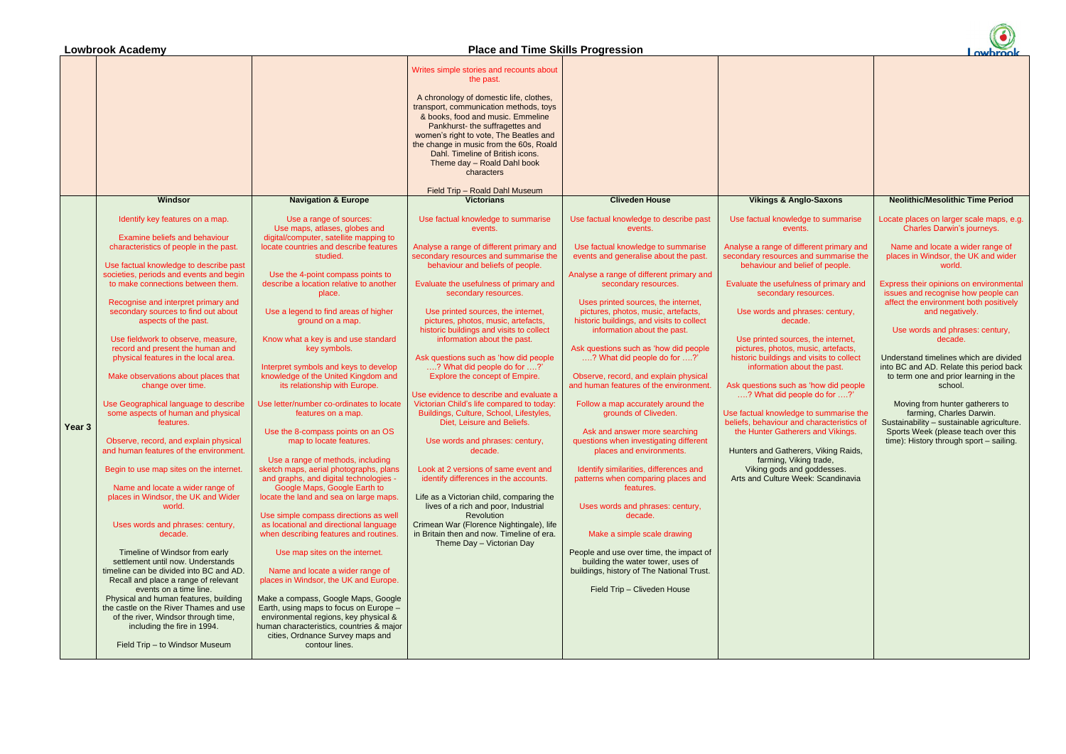# **Lowbrook Academy Place and Time Skills Progression**

|        |                                                                                                                                                                                                                                                                                                                                                                                                                                                                                                                                                                                                                                                                                                                                                                                                                                                                                                                                                                                                                                                                                                                                                                                                                                                                              |                                                                                                                                                                                                                                                                                                                                                                                                                                                                                                                                                                                                                                                                                                                                                                                                                                                                                                                                                                                                                                                                                                                                                                                                                                                                                                     | transport, communication methods, toys<br>& books, food and music. Emmeline<br>Pankhurst- the suffragettes and<br>women's right to vote, The Beatles and<br>the change in music from the 60s, Roald<br>Dahl. Timeline of British icons.<br>Theme day - Roald Dahl book<br>characters<br>Field Trip - Roald Dahl Museum                                                                                                                                                                                                                                                                                                                                                                                                                                                                                                                                                                                                                                                                                                                    |                                                                                                                                                                                                                                                                                                                                                                                                                                                                                                                                                                                                                                                                                                                                                                                                                                                                                                                                                                                                                                      |                                                                                                                                                                                                                                                                                                                                                                                                                                                                                                                                                                                                                                                                                                                                                                                         |                                                                                                                                                                                                                                                                                                                                                                                                                                                                                                                                                                                                                                                                                                 |
|--------|------------------------------------------------------------------------------------------------------------------------------------------------------------------------------------------------------------------------------------------------------------------------------------------------------------------------------------------------------------------------------------------------------------------------------------------------------------------------------------------------------------------------------------------------------------------------------------------------------------------------------------------------------------------------------------------------------------------------------------------------------------------------------------------------------------------------------------------------------------------------------------------------------------------------------------------------------------------------------------------------------------------------------------------------------------------------------------------------------------------------------------------------------------------------------------------------------------------------------------------------------------------------------|-----------------------------------------------------------------------------------------------------------------------------------------------------------------------------------------------------------------------------------------------------------------------------------------------------------------------------------------------------------------------------------------------------------------------------------------------------------------------------------------------------------------------------------------------------------------------------------------------------------------------------------------------------------------------------------------------------------------------------------------------------------------------------------------------------------------------------------------------------------------------------------------------------------------------------------------------------------------------------------------------------------------------------------------------------------------------------------------------------------------------------------------------------------------------------------------------------------------------------------------------------------------------------------------------------|-------------------------------------------------------------------------------------------------------------------------------------------------------------------------------------------------------------------------------------------------------------------------------------------------------------------------------------------------------------------------------------------------------------------------------------------------------------------------------------------------------------------------------------------------------------------------------------------------------------------------------------------------------------------------------------------------------------------------------------------------------------------------------------------------------------------------------------------------------------------------------------------------------------------------------------------------------------------------------------------------------------------------------------------|--------------------------------------------------------------------------------------------------------------------------------------------------------------------------------------------------------------------------------------------------------------------------------------------------------------------------------------------------------------------------------------------------------------------------------------------------------------------------------------------------------------------------------------------------------------------------------------------------------------------------------------------------------------------------------------------------------------------------------------------------------------------------------------------------------------------------------------------------------------------------------------------------------------------------------------------------------------------------------------------------------------------------------------|-----------------------------------------------------------------------------------------------------------------------------------------------------------------------------------------------------------------------------------------------------------------------------------------------------------------------------------------------------------------------------------------------------------------------------------------------------------------------------------------------------------------------------------------------------------------------------------------------------------------------------------------------------------------------------------------------------------------------------------------------------------------------------------------|-------------------------------------------------------------------------------------------------------------------------------------------------------------------------------------------------------------------------------------------------------------------------------------------------------------------------------------------------------------------------------------------------------------------------------------------------------------------------------------------------------------------------------------------------------------------------------------------------------------------------------------------------------------------------------------------------|
|        | Windsor                                                                                                                                                                                                                                                                                                                                                                                                                                                                                                                                                                                                                                                                                                                                                                                                                                                                                                                                                                                                                                                                                                                                                                                                                                                                      | <b>Navigation &amp; Europe</b>                                                                                                                                                                                                                                                                                                                                                                                                                                                                                                                                                                                                                                                                                                                                                                                                                                                                                                                                                                                                                                                                                                                                                                                                                                                                      | <b>Victorians</b>                                                                                                                                                                                                                                                                                                                                                                                                                                                                                                                                                                                                                                                                                                                                                                                                                                                                                                                                                                                                                         | <b>Cliveden House</b>                                                                                                                                                                                                                                                                                                                                                                                                                                                                                                                                                                                                                                                                                                                                                                                                                                                                                                                                                                                                                | <b>Vikings &amp; Anglo-Saxons</b>                                                                                                                                                                                                                                                                                                                                                                                                                                                                                                                                                                                                                                                                                                                                                       | <b>Neolithic/Mesolithic Time Period</b>                                                                                                                                                                                                                                                                                                                                                                                                                                                                                                                                                                                                                                                         |
| Year 3 | Identify key features on a map.<br><b>Examine beliefs and behaviour</b><br>characteristics of people in the past.<br>Use factual knowledge to describe past<br>societies, periods and events and begin<br>to make connections between them.<br>Recognise and interpret primary and<br>secondary sources to find out about<br>aspects of the past.<br>Use fieldwork to observe, measure,<br>record and present the human and<br>physical features in the local area.<br>Make observations about places that<br>change over time.<br>Use Geographical language to describe<br>some aspects of human and physical<br>features.<br>Observe, record, and explain physical<br>and human features of the environment.<br>Begin to use map sites on the internet.<br>Name and locate a wider range of<br>places in Windsor, the UK and Wider<br>world.<br>Uses words and phrases: century,<br>decade.<br>Timeline of Windsor from early<br>settlement until now. Understands<br>timeline can be divided into BC and AD.<br>Recall and place a range of relevant<br>events on a time line.<br>Physical and human features, building<br>the castle on the River Thames and use<br>of the river, Windsor through time,<br>including the fire in 1994.<br>Field Trip - to Windsor Museum | Use a range of sources:<br>Use maps, atlases, globes and<br>digital/computer, satellite mapping to<br>locate countries and describe features<br>studied.<br>Use the 4-point compass points to<br>describe a location relative to another<br>place.<br>Use a legend to find areas of higher<br>ground on a map.<br>Know what a key is and use standard<br>key symbols.<br>Interpret symbols and keys to develop<br>knowledge of the United Kingdom and<br>its relationship with Europe.<br>Use letter/number co-ordinates to locate<br>features on a map.<br>Use the 8-compass points on an OS<br>map to locate features.<br>Use a range of methods, including<br>sketch maps, aerial photographs, plans<br>and graphs, and digital technologies -<br>Google Maps, Google Earth to<br>locate the land and sea on large maps.<br>Use simple compass directions as well<br>as locational and directional language<br>when describing features and routines.<br>Use map sites on the internet.<br>Name and locate a wider range of<br>places in Windsor, the UK and Europe.<br>Make a compass, Google Maps, Google<br>Earth, using maps to focus on Europe -<br>environmental regions, key physical &<br>human characteristics, countries & major<br>cities, Ordnance Survey maps and<br>contour lines. | Use factual knowledge to summarise<br>events.<br>Analyse a range of different primary and<br>secondary resources and summarise the<br>behaviour and beliefs of people.<br>Evaluate the usefulness of primary and<br>secondary resources.<br>Use printed sources, the internet,<br>pictures, photos, music, artefacts,<br>historic buildings and visits to collect<br>information about the past.<br>Ask questions such as 'how did people<br>? What did people do for ?'<br>Explore the concept of Empire.<br>Use evidence to describe and evaluate a<br>Victorian Child's life compared to today:<br>Buildings, Culture, School, Lifestyles,<br>Diet, Leisure and Beliefs.<br>Use words and phrases: century,<br>decade.<br>Look at 2 versions of same event and<br>identify differences in the accounts.<br>Life as a Victorian child, comparing the<br>lives of a rich and poor, Industrial<br><b>Revolution</b><br>Crimean War (Florence Nightingale), life<br>in Britain then and now. Timeline of era.<br>Theme Day - Victorian Day | Use factual knowledge to describe past<br>events.<br>Use factual knowledge to summarise<br>events and generalise about the past.<br>Analyse a range of different primary and<br>secondary resources.<br>Uses printed sources, the internet,<br>pictures, photos, music, artefacts,<br>historic buildings, and visits to collect<br>information about the past.<br>Ask questions such as 'how did people<br>? What did people do for ?'<br>Observe, record, and explain physical<br>and human features of the environment<br>Follow a map accurately around the<br>grounds of Cliveden.<br>Ask and answer more searching<br>questions when investigating different<br>places and environments.<br>Identify similarities, differences and<br>patterns when comparing places and<br>features.<br>Uses words and phrases: century,<br>decade.<br>Make a simple scale drawing<br>People and use over time, the impact of<br>building the water tower, uses of<br>buildings, history of The National Trust.<br>Field Trip - Cliveden House | Use factual knowledge to summarise<br>events.<br>Analyse a range of different primary and<br>secondary resources and summarise the<br>behaviour and belief of people.<br>Evaluate the usefulness of primary and<br>secondary resources.<br>Use words and phrases: century,<br>decade.<br>Use printed sources, the internet,<br>pictures, photos, music, artefacts,<br>historic buildings and visits to collect<br>information about the past.<br>Ask questions such as 'how did people<br>? What did people do for ?'<br>Use factual knowledge to summarise the<br>beliefs, behaviour and characteristics of<br>the Hunter Gatherers and Vikings.<br>Hunters and Gatherers, Viking Raids,<br>farming, Viking trade,<br>Viking gods and goddesses.<br>Arts and Culture Week: Scandinavia | Locate places on larger scale maps, e.g.<br>Charles Darwin's journeys.<br>Name and locate a wider range of<br>places in Windsor, the UK and wider<br>world.<br>Express their opinions on environmental<br>issues and recognise how people can<br>affect the environment both positively<br>and negatively.<br>Use words and phrases: century,<br>decade.<br>Understand timelines which are divided<br>into BC and AD. Relate this period back<br>to term one and prior learning in the<br>school.<br>Moving from hunter gatherers to<br>farming, Charles Darwin.<br>Sustainability - sustainable agriculture.<br>Sports Week (please teach over this<br>time): History through sport - sailing. |

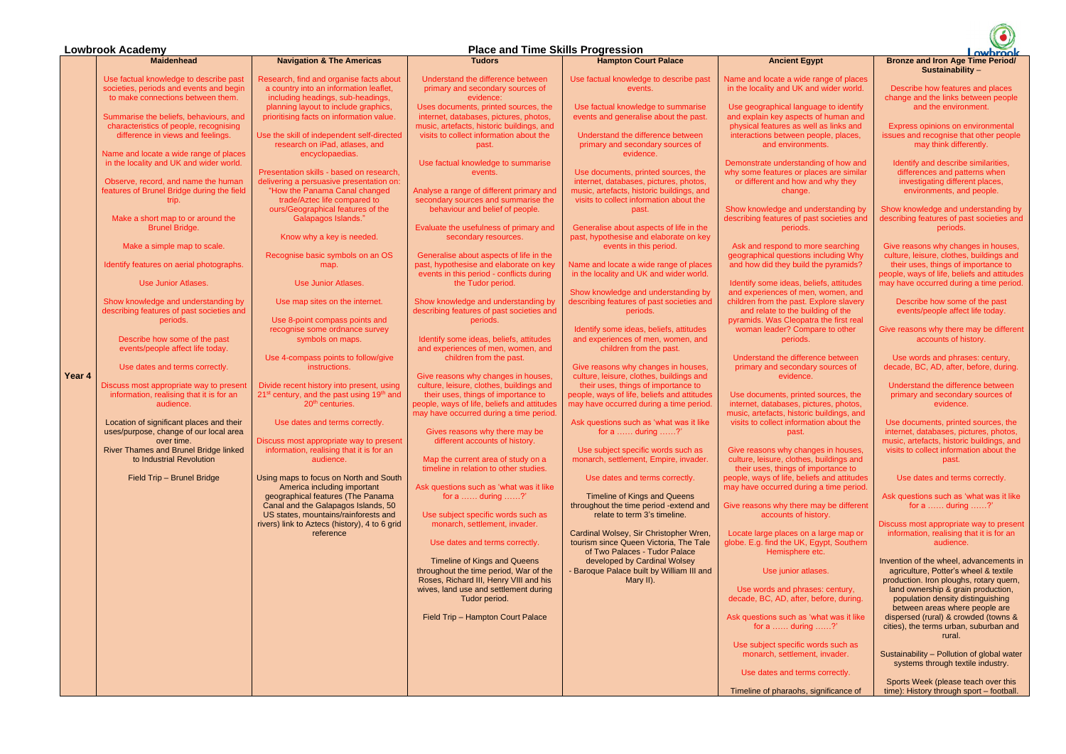## **Lowbrook Academy Place and Time Skills Progression**

|        | <b>Maidenhead</b>                                                                                                                                                                                                                                                                                                                                                                                                                                                                                                                                                                                                                                | <b>Navigation &amp; The Americas</b>                                                                                                                                                                                                                                                                                                                                                                                                                                                                                                                                                                                                                                                                                                                                                                                             | <b>Tudors</b>                                                                                                                                                                                                                                                                                                                                                                                                                                                                                                                                                                                                                                                                                                                                                                                                                                                                                                                                                                                                                                                                                                                                                                                              |                                                                                                                                                                                                                                                                                                                                                                                                                                                                                                                                                                                                                                                                                                                                                                                                                                                                                                                                                                                                                                                                                                                                                  | <b>Ancient Egy</b>                                                                                                                                                                                                                                                                                                                                                                                                                                                                                                                                                                                                                                                                                                                                                                                                                                                                                              |
|--------|--------------------------------------------------------------------------------------------------------------------------------------------------------------------------------------------------------------------------------------------------------------------------------------------------------------------------------------------------------------------------------------------------------------------------------------------------------------------------------------------------------------------------------------------------------------------------------------------------------------------------------------------------|----------------------------------------------------------------------------------------------------------------------------------------------------------------------------------------------------------------------------------------------------------------------------------------------------------------------------------------------------------------------------------------------------------------------------------------------------------------------------------------------------------------------------------------------------------------------------------------------------------------------------------------------------------------------------------------------------------------------------------------------------------------------------------------------------------------------------------|------------------------------------------------------------------------------------------------------------------------------------------------------------------------------------------------------------------------------------------------------------------------------------------------------------------------------------------------------------------------------------------------------------------------------------------------------------------------------------------------------------------------------------------------------------------------------------------------------------------------------------------------------------------------------------------------------------------------------------------------------------------------------------------------------------------------------------------------------------------------------------------------------------------------------------------------------------------------------------------------------------------------------------------------------------------------------------------------------------------------------------------------------------------------------------------------------------|--------------------------------------------------------------------------------------------------------------------------------------------------------------------------------------------------------------------------------------------------------------------------------------------------------------------------------------------------------------------------------------------------------------------------------------------------------------------------------------------------------------------------------------------------------------------------------------------------------------------------------------------------------------------------------------------------------------------------------------------------------------------------------------------------------------------------------------------------------------------------------------------------------------------------------------------------------------------------------------------------------------------------------------------------------------------------------------------------------------------------------------------------|-----------------------------------------------------------------------------------------------------------------------------------------------------------------------------------------------------------------------------------------------------------------------------------------------------------------------------------------------------------------------------------------------------------------------------------------------------------------------------------------------------------------------------------------------------------------------------------------------------------------------------------------------------------------------------------------------------------------------------------------------------------------------------------------------------------------------------------------------------------------------------------------------------------------|
|        | Use factual knowledge to describe past<br>societies, periods and events and begin<br>to make connections between them.<br>Summarise the beliefs, behaviours, and<br>characteristics of people, recognising<br>difference in views and feelings.<br>Name and locate a wide range of places<br>in the locality and UK and wider world.<br>Observe, record, and name the human<br>features of Brunel Bridge during the field<br>trip.<br>Make a short map to or around the                                                                                                                                                                          | Research, find and organise facts about<br>a country into an information leaflet,<br>including headings, sub-headings,<br>planning layout to include graphics,<br>prioritising facts on information value.<br>Use the skill of independent self-directed<br>research on iPad, atlases, and<br>encyclopaedias.<br>Presentation skills - based on research,<br>delivering a persuasive presentation on:<br>"How the Panama Canal changed<br>trade/Aztec life compared to<br>ours/Geographical features of the<br>Galapagos Islands."                                                                                                                                                                                                                                                                                               | Understand the difference between<br>primary and secondary sources of<br>evidence:<br>Uses documents, printed sources, the<br>internet, databases, pictures, photos,<br>music, artefacts, historic buildings, and<br>visits to collect information about the<br>past.<br>Use factual knowledge to summarise<br>events.<br>Analyse a range of different primary and<br>secondary sources and summarise the<br>behaviour and belief of people.                                                                                                                                                                                                                                                                                                                                                                                                                                                                                                                                                                                                                                                                                                                                                               | <b>Hampton Court Palace</b><br>Use factual knowledge to describe past<br>events.<br>Use factual knowledge to summarise<br>events and generalise about the past.<br>Understand the difference between<br>primary and secondary sources of<br>evidence.<br>Use documents, printed sources, the<br>internet, databases, pictures, photos,<br>music, artefacts, historic buildings, and<br>visits to collect information about the<br>past.                                                                                                                                                                                                                                                                                                                                                                                                                                                                                                                                                                                                                                                                                                          | Name and locate a wide<br>in the locality and UK ar<br>Use geographical langu<br>and explain key aspects<br>physical features as we<br>interactions between po<br>and environm<br>Demonstrate understand<br>why some features or pla<br>or different and how a<br>change.<br>Show knowledge and un<br>describing features of pa                                                                                                                                                                                                                                                                                                                                                                                                                                                                                                                                                                                 |
| Year 4 | <b>Brunel Bridge.</b><br>Make a simple map to scale.<br>Identify features on aerial photographs.<br><b>Use Junior Atlases.</b><br>Show knowledge and understanding by<br>describing features of past societies and<br>periods.<br>Describe how some of the past<br>events/people affect life today.<br>Use dates and terms correctly.<br>Discuss most appropriate way to present<br>information, realising that it is for an<br>audience.<br>Location of significant places and their<br>uses/purpose, change of our local area<br>over time.<br>River Thames and Brunel Bridge linked<br>to Industrial Revolution<br>Field Trip - Brunel Bridge | Know why a key is needed.<br>Recognise basic symbols on an OS<br>map.<br>Use Junior Atlases.<br>Use map sites on the internet.<br>Use 8-point compass points and<br>recognise some ordnance survey<br>symbols on maps.<br>Use 4-compass points to follow/give<br>instructions.<br>Divide recent history into present, using<br>21 <sup>st</sup> century, and the past using 19 <sup>th</sup> and<br>20 <sup>th</sup> centuries.<br>Use dates and terms correctly.<br>Discuss most appropriate way to present<br>information, realising that it is for an<br>audience.<br>Using maps to focus on North and South<br>America including important<br>geographical features (The Panama<br>Canal and the Galapagos Islands, 50<br>US states, mountains/rainforests and<br>rivers) link to Aztecs (history), 4 to 6 grid<br>reference | Evaluate the usefulness of primary and<br>secondary resources.<br>Generalise about aspects of life in the<br>past, hypothesise and elaborate on key<br>events in this period - conflicts during<br>the Tudor period.<br>Show knowledge and understanding by<br>describing features of past societies and<br>periods.<br>Identify some ideas, beliefs, attitudes<br>and experiences of men, women, and<br>children from the past.<br>Give reasons why changes in houses,<br>culture, leisure, clothes, buildings and<br>their uses, things of importance to<br>people, ways of life, beliefs and attitudes<br>may have occurred during a time period.<br>Gives reasons why there may be<br>different accounts of history.<br>Map the current area of study on a<br>timeline in relation to other studies.<br>Ask questions such as 'what was it like<br>for a  during $\dots$ ?<br>Use subject specific words such as<br>monarch, settlement, invader.<br>Use dates and terms correctly.<br>Timeline of Kings and Queens<br>throughout the time period, War of the<br>Roses, Richard III, Henry VIII and his<br>wives, land use and settlement during<br>Tudor period.<br>Field Trip - Hampton Court Palace | Generalise about aspects of life in the<br>past, hypothesise and elaborate on key<br>events in this period.<br>Name and locate a wide range of places<br>in the locality and UK and wider world.<br>Show knowledge and understanding by<br>describing features of past societies and<br>periods.<br>Identify some ideas, beliefs, attitudes<br>and experiences of men, women, and<br>children from the past.<br>Give reasons why changes in houses,<br>culture, leisure, clothes, buildings and<br>their uses, things of importance to<br>people, ways of life, beliefs and attitudes<br>may have occurred during a time period.<br>Ask questions such as 'what was it like<br>for a  during $\dots$ ?<br>Use subject specific words such as<br>monarch, settlement, Empire, invader.<br>Use dates and terms correctly.<br>Timeline of Kings and Queens<br>throughout the time period -extend and<br>relate to term 3's timeline.<br>Cardinal Wolsey, Sir Christopher Wren,<br>tourism since Queen Victoria, The Tale<br>of Two Palaces - Tudor Palace<br>developed by Cardinal Wolsey<br>- Baroque Palace built by William III and<br>Mary II). | periods.<br>Ask and respond to mo<br>geographical questions<br>and how did they build<br>Identify some ideas, be<br>and experiences of mer<br>children from the past. E<br>and relate to the bui<br>pyramids. Was Cleopat<br>woman leader? Comp<br>periods.<br>Understand the differe<br>primary and secondar<br>evidence.<br>Use documents, printed<br>internet, databases, pic<br>music, artefacts, historic<br>visits to collect informa<br>past.<br>Give reasons why chan<br>culture, leisure, clothes,<br>their uses, things of in<br>people, ways of life, belie<br>may have occurred durin<br>Give reasons why there r<br>accounts of his<br>Locate large places on<br>globe. E.g. find the UK, E<br>Hemisphere<br>Use junior atla<br>Use words and phras<br>decade, BC, AD, after, I<br>Ask questions such as 't<br>for a  during<br>Use subject specific w<br>monarch, settlemer<br>Use dates and term |
|        |                                                                                                                                                                                                                                                                                                                                                                                                                                                                                                                                                                                                                                                  |                                                                                                                                                                                                                                                                                                                                                                                                                                                                                                                                                                                                                                                                                                                                                                                                                                  |                                                                                                                                                                                                                                                                                                                                                                                                                                                                                                                                                                                                                                                                                                                                                                                                                                                                                                                                                                                                                                                                                                                                                                                                            |                                                                                                                                                                                                                                                                                                                                                                                                                                                                                                                                                                                                                                                                                                                                                                                                                                                                                                                                                                                                                                                                                                                                                  | Timeline of pharaohs, s                                                                                                                                                                                                                                                                                                                                                                                                                                                                                                                                                                                                                                                                                                                                                                                                                                                                                         |

## **A**

range of places ind wider world.

uage to identify s of human and ell as links and beople, places, .<br>ents.

ding of how and laces are similar and why they

nderstanding by ast societies and

**hore searching** including Why I the pyramids?

eliefs, attitudes n, women, and Explore slavery ilding of the tra the first real pare to other

ence between ary sources of

ed sources, the ctures, photos, c buildings, and ation about the

nges in houses, s, buildings and mportance to efs and attitudes ng a time period.

may be different istory.

a large map or Egypt, Southern etc.

ases.

ses: century, before, during.

'what was it like for a  $\ldots$  .  $2^r$ 

vords such as nt, invader.

ns correctly.

significance of

### owbrook **Bronze and Iron Age Time Period/ Sustainability** –

Sustainability – Pollution of global water systems through textile industry.

Describe how features and places change and the links between people and the environment.

Express opinions on environmental issues and recognise that other people may think differently.

Identify and describe similarities, differences and patterns when investigating different places, environments, and people.

Show knowledge and understanding by describing features of past societies and periods.

Give reasons why changes in houses, culture, leisure, clothes, buildings and their uses, things of importance to people, ways of life, beliefs and attitudes may have occurred during a time period.

Describe how some of the past events/people affect life today.

Give reasons why there may be different accounts of history.

Use words and phrases: century, decade, BC, AD, after, before, during.

Understand the difference between primary and secondary sources of evidence.

Use documents, printed sources, the internet, databases, pictures, photos, music, artefacts, historic buildings, and visits to collect information about the past.

Use dates and terms correctly.

Ask questions such as 'what was it like for a …… during ……?'

Discuss most appropriate way to present information, realising that it is for an audience.

Invention of the wheel, advancements in agriculture, Potter's wheel & textile production. Iron ploughs, rotary quern, land ownership & grain production, population density distinguishing between areas where people are dispersed (rural) & crowded (towns & cities), the terms urban, suburban and rural.

Sports Week (please teach over this time): History through sport – football.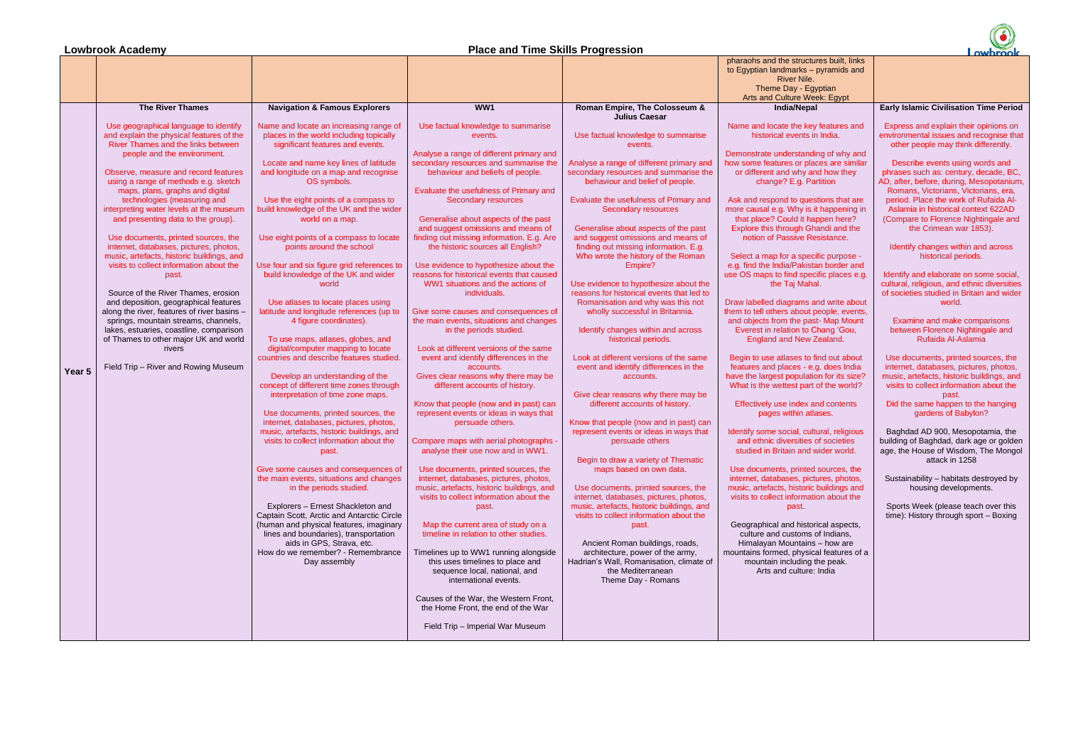# **Lowbrook Academy Place and Time Skills Progression**



|        |                                                                                                                         |                                                                                                                       |                                                                                                            |                                                                                                   | prididurio driu tric otructureo bulli,<br>to Egyptian landmarks - pyramids<br><b>River Nile.</b> |
|--------|-------------------------------------------------------------------------------------------------------------------------|-----------------------------------------------------------------------------------------------------------------------|------------------------------------------------------------------------------------------------------------|---------------------------------------------------------------------------------------------------|--------------------------------------------------------------------------------------------------|
|        |                                                                                                                         |                                                                                                                       |                                                                                                            |                                                                                                   | Theme Day - Egyptian                                                                             |
|        | <b>The River Thames</b>                                                                                                 | <b>Navigation &amp; Famous Explorers</b>                                                                              | WW1                                                                                                        | Roman Empire, The Colosseum &                                                                     | <b>Arts and Culture Week: Egypt</b><br><b>India/Nepal</b>                                        |
|        |                                                                                                                         |                                                                                                                       |                                                                                                            | <b>Julius Caesar</b>                                                                              |                                                                                                  |
|        | Use geographical language to identify<br>and explain the physical features of the<br>River Thames and the links between | Name and locate an increasing range of<br>places in the world including topically<br>significant features and events. | Use factual knowledge to summarise<br>events.                                                              | Use factual knowledge to summarise                                                                | Name and locate the key features<br>historical events in India.                                  |
|        | people and the environment.                                                                                             |                                                                                                                       | Analyse a range of different primary and                                                                   | events.                                                                                           | Demonstrate understanding of why                                                                 |
|        | Observe, measure and record features                                                                                    | Locate and name key lines of latitude<br>and longitude on a map and recognise                                         | secondary resources and summarise the<br>behaviour and beliefs of people.                                  | Analyse a range of different primary and<br>secondary resources and summarise the                 | how some features or places are s<br>or different and why and how th<br>change? E.g. Partition   |
|        | using a range of methods e.g. sketch<br>maps, plans, graphs and digital                                                 | OS symbols.                                                                                                           | Evaluate the usefulness of Primary and                                                                     | behaviour and belief of people.                                                                   |                                                                                                  |
|        | technologies (measuring and<br>interpreting water levels at the museum                                                  | Use the eight points of a compass to<br>build knowledge of the UK and the wider                                       | <b>Secondary resources</b>                                                                                 | Evaluate the usefulness of Primary and<br>Secondary resources                                     | Ask and respond to questions that<br>more causal e.g. Why is it happeni                          |
|        | and presenting data to the group).                                                                                      | world on a map.                                                                                                       | Generalise about aspects of the past<br>and suggest omissions and means of                                 | Generalise about aspects of the past                                                              | that place? Could it happen her<br>Explore this through Ghandi and                               |
|        | Use documents, printed sources, the<br>internet, databases, pictures, photos,                                           | Use eight points of a compass to locate<br>points around the school                                                   | finding out missing information. E.g. Are<br>the historic sources all English?                             | and suggest omissions and means of<br>finding out missing information. E.g.                       | notion of Passive Resistance.                                                                    |
|        | music, artefacts, historic buildings, and                                                                               |                                                                                                                       |                                                                                                            | Who wrote the history of the Roman                                                                | Select a map for a specific purpo                                                                |
|        | visits to collect information about the<br>past.                                                                        | Use four and six figure grid references to<br>build knowledge of the UK and wider                                     | Use evidence to hypothesize about the<br>reasons for historical events that caused                         | Empire?                                                                                           | e.g. find the India/Pakistan border<br>use OS maps to find specific place                        |
|        |                                                                                                                         | world                                                                                                                 | WW1 situations and the actions of                                                                          | Use evidence to hypothesize about the                                                             | the Taj Mahal.                                                                                   |
|        | Source of the River Thames, erosion<br>and deposition, geographical features                                            | Use atlases to locate places using                                                                                    | individuals.                                                                                               | reasons for historical events that led to<br>Romanisation and why was this not                    | Draw labelled diagrams and write a                                                               |
|        | along the river, features of river basins -                                                                             | latitude and longitude references (up to                                                                              | Give some causes and consequences of                                                                       | wholly successful in Britannia.                                                                   | them to tell others about people, ev                                                             |
|        | springs, mountain streams, channels,                                                                                    | 4 figure coordinates).                                                                                                | the main events, situations and changes                                                                    |                                                                                                   | and objects from the past- Map M                                                                 |
|        | lakes, estuaries, coastline, comparison<br>of Thames to other major UK and world                                        | To use maps, atlases, globes, and                                                                                     | in the periods studied.                                                                                    | Identify changes within and across<br>historical periods.                                         | Everest in relation to Chang 'Go<br>England and New Zealand.                                     |
|        | rivers                                                                                                                  | digital/computer mapping to locate                                                                                    | Look at different versions of the same                                                                     |                                                                                                   |                                                                                                  |
|        | Field Trip - River and Rowing Museum                                                                                    | countries and describe features studied.                                                                              | event and identify differences in the<br>accounts.                                                         | Look at different versions of the same<br>event and identify differences in the                   | Begin to use atlases to find out al<br>features and places - e.g. does In                        |
| Year 5 |                                                                                                                         | Develop an understanding of the                                                                                       | Gives clear reasons why there may be                                                                       | accounts.                                                                                         | have the largest population for its a                                                            |
|        |                                                                                                                         | concept of different time zones through<br>interpretation of time zone maps.                                          | different accounts of history.                                                                             | Give clear reasons why there may be                                                               | What is the wettest part of the wo                                                               |
|        |                                                                                                                         |                                                                                                                       | Know that people (now and in past) can                                                                     | different accounts of history.                                                                    | Effectively use index and conter                                                                 |
|        |                                                                                                                         | Use documents, printed sources, the                                                                                   | represent events or ideas in ways that                                                                     |                                                                                                   | pages within atlases.                                                                            |
|        |                                                                                                                         | internet, databases, pictures, photos,<br>music, artefacts, historic buildings, and                                   | persuade others.                                                                                           | Know that people (now and in past) can<br>represent events or ideas in ways that                  | Identify some social, cultural, relig                                                            |
|        |                                                                                                                         | visits to collect information about the<br>past.                                                                      | Compare maps with aerial photographs -<br>analyse their use now and in WW1.                                | persuade others                                                                                   | and ethnic diversities of societie<br>studied in Britain and wider wor                           |
|        |                                                                                                                         | Give some causes and consequences of                                                                                  | Use documents, printed sources, the                                                                        | Begin to draw a variety of Thematic<br>maps based on own data.                                    | Use documents, printed sources,                                                                  |
|        |                                                                                                                         | the main events, situations and changes                                                                               | internet, databases, pictures, photos,                                                                     |                                                                                                   | internet, databases, pictures, pho                                                               |
|        |                                                                                                                         | in the periods studied.                                                                                               | music, artefacts, historic buildings, and                                                                  | Use documents, printed sources, the                                                               | music, artefacts, historic buildings                                                             |
|        |                                                                                                                         | Explorers - Ernest Shackleton and                                                                                     | visits to collect information about the<br>past.                                                           | internet, databases, pictures, photos,<br>music, artefacts, historic buildings, and               | visits to collect information about<br>past.                                                     |
|        |                                                                                                                         | Captain Scott, Arctic and Antarctic Circle                                                                            |                                                                                                            | visits to collect information about the                                                           |                                                                                                  |
|        |                                                                                                                         | (human and physical features, imaginary<br>lines and boundaries), transportation                                      | Map the current area of study on a<br>timeline in relation to other studies.                               | past.                                                                                             | Geographical and historical aspe<br>culture and customs of Indians                               |
|        |                                                                                                                         | aids in GPS, Strava, etc.                                                                                             |                                                                                                            | Ancient Roman buildings, roads,                                                                   | Himalayan Mountains - how ar                                                                     |
|        |                                                                                                                         | How do we remember? - Remembrance<br>Day assembly                                                                     | Timelines up to WW1 running alongside<br>this uses timelines to place and<br>sequence local, national, and | architecture, power of the army,<br>Hadrian's Wall, Romanisation, climate of<br>the Mediterranean | mountains formed, physical feature<br>mountain including the peak.<br>Arts and culture: India    |
|        |                                                                                                                         |                                                                                                                       | international events.                                                                                      | Theme Day - Romans                                                                                |                                                                                                  |
|        |                                                                                                                         |                                                                                                                       | Causes of the War, the Western Front,<br>the Home Front, the end of the War                                |                                                                                                   |                                                                                                  |
|        |                                                                                                                         |                                                                                                                       | Field Trip - Imperial War Museum                                                                           |                                                                                                   |                                                                                                  |

Identify and elaborate on some social, cultural, religious, and ethnic diversities of societies studied in Britain and wider world.



nding of why and blaces are similar and how they Partition

estions that are is it happening in happen here? Ghandi and the Resistance.

ecific purpose istan border and becific places e.g. thal.

s and write about the people, events, bast- Map Mount .<br>Chang 'Gou,  $w$  Zealand.

to find out about e.g. does India ation for its size? art of the world?

and contents atlases.

ultural, religious es of societies d wider world.

ed sources, the ictures, photos, ric buildings and nation about the

storical aspects, ns of Indians,  $ins - how are$ sical features of a ng the peak. re: India



## **Early Islamic Civilisation Time Period**

Express and explain their opinions on environmental issues and recognise that other people may think differently.

Describe events using words and phrases such as: century, decade, BC, AD, after, before, during, Mesopotanium, Romans, Victorians, Victorians, era, period. Place the work of Rufaida Al-Aslamia in historical context 622AD (Compare to Florence Nightingale and the Crimean war 1853).

Identify changes within and across historical periods.

Examine and make comparisons between Florence Nightingale and Rufaida Al-Aslamia

Use documents, printed sources, the internet, databases, pictures, photos, music, artefacts, historic buildings, and visits to collect information about the past.

Did the same happen to the hanging gardens of Babylon?

Baghdad AD 900, Mesopotamia, the building of Baghdad, dark age or golden age, the House of Wisdom, The Mongol attack in 1258

Sustainability – habitats destroyed by housing developments.

Sports Week (please teach over this time): History through sport – Boxing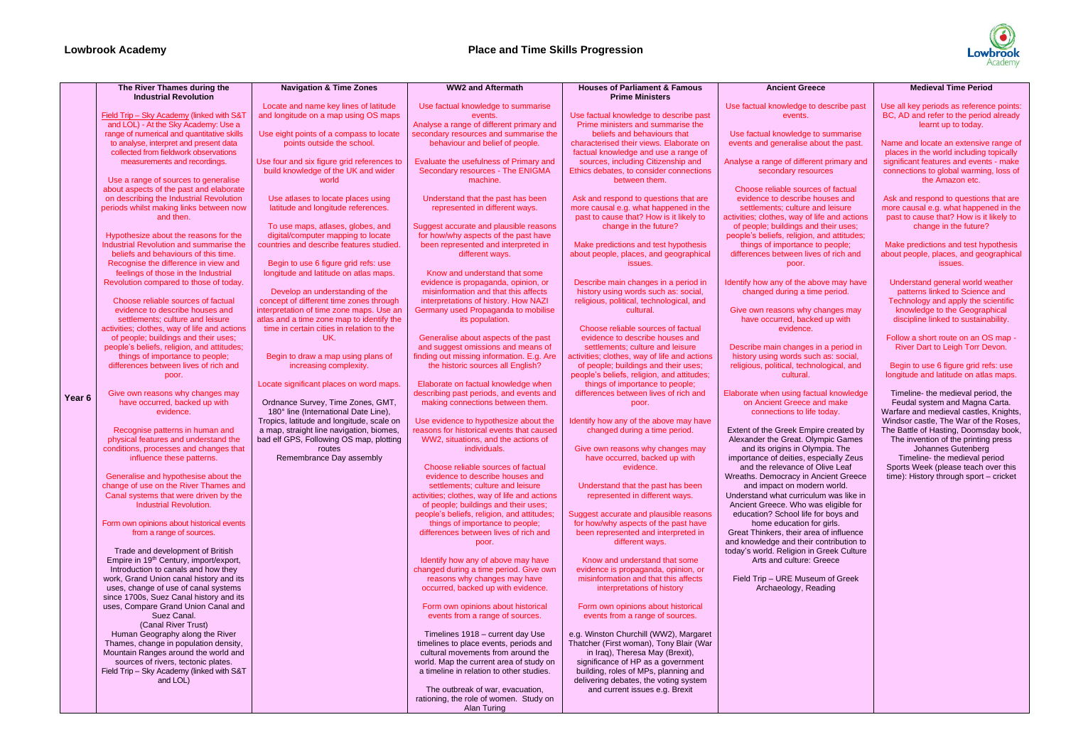|                   | The River Thames during the<br><b>Industrial Revolution</b>                                                                                                                                                                                                                                                                                                                                                                                                                                                                                                                                                                                                                                                                                                                                                                                                                                                                                                                                                                                                                                                                                                                                                                                                                                                                                                                                                                                                                                                                                                                                                                                                                                                                                                                                                                                                                                                                                                                                                                                                            | <b>Navigation &amp; Time Zones</b>                                                                                                                                                                                                                                                                                                                                                                                                                                                                                                                                                                                                                                                                                                                                                                                                                                                                                                                                                                                                                                                                                                    | <b>WW2 and Aftermath</b>                                                                                                                                                                                                                                                                                                                                                                                                                                                                                                                                                                                                                                                                                                                                                                                                                                                                                                                                                                                                                                                                                                                                                                                                                                                                                                                                                                                                                                                                                                                                                                                                                                                                                                                                                                                                                                                                                                                                                                                | <b>Houses of Parliament &amp; Famous</b><br><b>Prime Ministers</b>                                                                                                                                                                                                                                                                                                                                                                                                                                                                                                                                                                                                                                                                                                                                                                                                                                                                                                                                                                                                                                                                                                                                                                                                                                                                                                                                                                                                                                                                                                                                                                                                                                                                                                                                                                                                                                                          | <b>Ancient Gre</b>                                                                                                                                                                                                                                                                                                                                                                                                                                                                                                                                                                                                                                                                                                                                                                                                                                                                                                                                                                                                                                                                                   |
|-------------------|------------------------------------------------------------------------------------------------------------------------------------------------------------------------------------------------------------------------------------------------------------------------------------------------------------------------------------------------------------------------------------------------------------------------------------------------------------------------------------------------------------------------------------------------------------------------------------------------------------------------------------------------------------------------------------------------------------------------------------------------------------------------------------------------------------------------------------------------------------------------------------------------------------------------------------------------------------------------------------------------------------------------------------------------------------------------------------------------------------------------------------------------------------------------------------------------------------------------------------------------------------------------------------------------------------------------------------------------------------------------------------------------------------------------------------------------------------------------------------------------------------------------------------------------------------------------------------------------------------------------------------------------------------------------------------------------------------------------------------------------------------------------------------------------------------------------------------------------------------------------------------------------------------------------------------------------------------------------------------------------------------------------------------------------------------------------|---------------------------------------------------------------------------------------------------------------------------------------------------------------------------------------------------------------------------------------------------------------------------------------------------------------------------------------------------------------------------------------------------------------------------------------------------------------------------------------------------------------------------------------------------------------------------------------------------------------------------------------------------------------------------------------------------------------------------------------------------------------------------------------------------------------------------------------------------------------------------------------------------------------------------------------------------------------------------------------------------------------------------------------------------------------------------------------------------------------------------------------|---------------------------------------------------------------------------------------------------------------------------------------------------------------------------------------------------------------------------------------------------------------------------------------------------------------------------------------------------------------------------------------------------------------------------------------------------------------------------------------------------------------------------------------------------------------------------------------------------------------------------------------------------------------------------------------------------------------------------------------------------------------------------------------------------------------------------------------------------------------------------------------------------------------------------------------------------------------------------------------------------------------------------------------------------------------------------------------------------------------------------------------------------------------------------------------------------------------------------------------------------------------------------------------------------------------------------------------------------------------------------------------------------------------------------------------------------------------------------------------------------------------------------------------------------------------------------------------------------------------------------------------------------------------------------------------------------------------------------------------------------------------------------------------------------------------------------------------------------------------------------------------------------------------------------------------------------------------------------------------------------------|-----------------------------------------------------------------------------------------------------------------------------------------------------------------------------------------------------------------------------------------------------------------------------------------------------------------------------------------------------------------------------------------------------------------------------------------------------------------------------------------------------------------------------------------------------------------------------------------------------------------------------------------------------------------------------------------------------------------------------------------------------------------------------------------------------------------------------------------------------------------------------------------------------------------------------------------------------------------------------------------------------------------------------------------------------------------------------------------------------------------------------------------------------------------------------------------------------------------------------------------------------------------------------------------------------------------------------------------------------------------------------------------------------------------------------------------------------------------------------------------------------------------------------------------------------------------------------------------------------------------------------------------------------------------------------------------------------------------------------------------------------------------------------------------------------------------------------------------------------------------------------------------------------------------------------|------------------------------------------------------------------------------------------------------------------------------------------------------------------------------------------------------------------------------------------------------------------------------------------------------------------------------------------------------------------------------------------------------------------------------------------------------------------------------------------------------------------------------------------------------------------------------------------------------------------------------------------------------------------------------------------------------------------------------------------------------------------------------------------------------------------------------------------------------------------------------------------------------------------------------------------------------------------------------------------------------------------------------------------------------------------------------------------------------|
| Year <sub>6</sub> | Field Trip - Sky Academy (linked with S&T<br>and LOL) - At the Sky Academy: Use a<br>range of numerical and quantitative skills<br>to analyse, interpret and present data<br>collected from fieldwork observations<br>measurements and recordings.<br>Use a range of sources to generalise<br>about aspects of the past and elaborate<br>on describing the Industrial Revolution<br>periods whilst making links between now<br>and then.<br>Hypothesize about the reasons for the<br>Industrial Revolution and summarise the<br>beliefs and behaviours of this time.<br>Recognise the difference in view and<br>feelings of those in the Industrial<br>Revolution compared to those of today.<br>Choose reliable sources of factual<br>evidence to describe houses and<br>settlements; culture and leisure<br>activities; clothes, way of life and actions<br>of people; buildings and their uses;<br>people's beliefs, religion, and attitudes;<br>things of importance to people;<br>differences between lives of rich and<br>poor.<br>Give own reasons why changes may<br>have occurred, backed up with<br>evidence.<br>Recognise patterns in human and<br>physical features and understand the<br>conditions, processes and changes that<br>influence these patterns.<br>Generalise and hypothesise about the<br>change of use on the River Thames and<br>Canal systems that were driven by the<br>Industrial Revolution.<br>Form own opinions about historical events<br>from a range of sources.<br>Trade and development of British<br>Empire in 19 <sup>th</sup> Century, import/export,<br>Introduction to canals and how they<br>work, Grand Union canal history and its<br>uses, change of use of canal systems<br>since 1700s, Suez Canal history and its<br>uses, Compare Grand Union Canal and<br>Suez Canal.<br>(Canal River Trust)<br>Human Geography along the River<br>Thames, change in population density,<br>Mountain Ranges around the world and<br>sources of rivers, tectonic plates.<br>Field Trip - Sky Academy (linked with S&T<br>and LOL) | Locate and name key lines of latitude<br>and longitude on a map using OS maps<br>Use eight points of a compass to locate<br>points outside the school.<br>Use four and six figure grid references to<br>build knowledge of the UK and wider<br>world<br>Use atlases to locate places using<br>latitude and longitude references.<br>To use maps, atlases, globes, and<br>digital/computer mapping to locate<br>countries and describe features studied.<br>Begin to use 6 figure grid refs: use<br>longitude and latitude on atlas maps.<br>Develop an understanding of the<br>concept of different time zones through<br>interpretation of time zone maps. Use an<br>atlas and a time zone map to identify the<br>time in certain cities in relation to the<br>UK.<br>Begin to draw a map using plans of<br>increasing complexity.<br>Locate significant places on word maps.<br>Ordnance Survey, Time Zones, GMT,<br>180° line (International Date Line),<br>Tropics, latitude and longitude, scale on<br>a map, straight line navigation, biomes,<br>bad elf GPS, Following OS map, plotting<br>routes<br>Remembrance Day assembly | Use factual knowledge to summarise<br>events.<br>Analyse a range of different primary and<br>secondary resources and summarise the<br>behaviour and belief of people.<br>Evaluate the usefulness of Primary and<br>Secondary resources - The ENIGMA<br>machine.<br>Understand that the past has been<br>represented in different ways.<br>Suggest accurate and plausible reasons<br>for how/why aspects of the past have<br>been represented and interpreted in<br>different ways.<br>Know and understand that some<br>evidence is propaganda, opinion, or<br>misinformation and that this affects<br>interpretations of history. How NAZI<br>Germany used Propaganda to mobilise<br>its population.<br>Generalise about aspects of the past<br>and suggest omissions and means of<br>finding out missing information. E.g. Are<br>the historic sources all English?<br>Elaborate on factual knowledge when<br>describing past periods, and events and<br>making connections between them.<br>Use evidence to hypothesize about the<br>reasons for historical events that caused<br>WW2, situations, and the actions of<br>individuals.<br>Choose reliable sources of factual<br>evidence to describe houses and<br>settlements; culture and leisure<br>activities; clothes, way of life and actions<br>of people; buildings and their uses;<br>people's beliefs, religion, and attitudes;<br>things of importance to people;<br>differences between lives of rich and<br>poor.<br>Identify how any of above may have<br>changed during a time period. Give own<br>reasons why changes may have<br>occurred, backed up with evidence.<br>Form own opinions about historical<br>events from a range of sources.<br>Timelines 1918 - current day Use<br>timelines to place events, periods and<br>cultural movements from around the<br>world. Map the current area of study on<br>a timeline in relation to other studies.<br>The outbreak of war, evacuation,<br>rationing, the role of women. Study on | Use factual knowledge to describe past<br>Prime ministers and summarise the<br>beliefs and behaviours that<br>characterised their views. Elaborate on<br>factual knowledge and use a range of<br>sources, including Citizenship and<br>Ethics debates, to consider connections<br>between them.<br>Ask and respond to questions that are<br>more causal e.g. what happened in the<br>past to cause that? How is it likely to<br>change in the future?<br>Make predictions and test hypothesis<br>about people, places, and geographical<br>issues.<br>Describe main changes in a period in<br>history using words such as: social,<br>religious, political, technological, and<br>cultural.<br>Choose reliable sources of factual<br>evidence to describe houses and<br>settlements; culture and leisure<br>activities; clothes, way of life and actions<br>of people; buildings and their uses;<br>people's beliefs, religion, and attitudes;<br>things of importance to people;<br>differences between lives of rich and<br>poor.<br>Identify how any of the above may have<br>changed during a time period.<br>Give own reasons why changes may<br>have occurred, backed up with<br>evidence.<br>Understand that the past has been<br>represented in different ways.<br>Suggest accurate and plausible reasons<br>for how/why aspects of the past have<br>been represented and interpreted in<br>different ways.<br>Know and understand that some<br>evidence is propaganda, opinion, or<br>misinformation and that this affects<br>interpretations of history<br>Form own opinions about historical<br>events from a range of sources.<br>e.g. Winston Churchill (WW2), Margaret<br>Thatcher (First woman), Tony Blair (War<br>in Iraq), Theresa May (Brexit),<br>significance of HP as a government<br>building, roles of MPs, planning and<br>delivering debates, the voting system<br>and current issues e.g. Brexit | Use factual knowledge to<br>events.<br>Use factual knowledge<br>events and generalise a<br>Analyse a range of differ<br>secondary reso<br>Choose reliable sourc<br>evidence to describe<br>settlements; culture<br>activities; clothes, way of<br>of people; buildings ar<br>people's beliefs, religion<br>things of importance<br>differences between liv<br>poor.<br>Identify how any of the a<br>changed during a til<br>Give own reasons why<br>have occurred, back<br>evidence.<br>Describe main changes<br>history using words su<br>religious, political, tech<br>cultural.<br>Elaborate when using fad<br>on Ancient Greece<br>connections to life<br>Extent of the Greek Emp<br>Alexander the Great. O<br>and its origins in Oly<br>importance of deities, e<br>and the relevance of<br>Wreaths. Democracy in<br>and impact on mod<br>Understand what curricu<br>Ancient Greece. Who w<br>education? School life<br>home education t<br>Great Thinkers, their are<br>and knowledge and their<br>today's world. Religion in<br>Arts and culture:<br>Field Trip - URE Muse<br>Archaeology, Ro |
|                   |                                                                                                                                                                                                                                                                                                                                                                                                                                                                                                                                                                                                                                                                                                                                                                                                                                                                                                                                                                                                                                                                                                                                                                                                                                                                                                                                                                                                                                                                                                                                                                                                                                                                                                                                                                                                                                                                                                                                                                                                                                                                        |                                                                                                                                                                                                                                                                                                                                                                                                                                                                                                                                                                                                                                                                                                                                                                                                                                                                                                                                                                                                                                                                                                                                       | Alan Turing                                                                                                                                                                                                                                                                                                                                                                                                                                                                                                                                                                                                                                                                                                                                                                                                                                                                                                                                                                                                                                                                                                                                                                                                                                                                                                                                                                                                                                                                                                                                                                                                                                                                                                                                                                                                                                                                                                                                                                                             |                                                                                                                                                                                                                                                                                                                                                                                                                                                                                                                                                                                                                                                                                                                                                                                                                                                                                                                                                                                                                                                                                                                                                                                                                                                                                                                                                                                                                                                                                                                                                                                                                                                                                                                                                                                                                                                                                                                             |                                                                                                                                                                                                                                                                                                                                                                                                                                                                                                                                                                                                                                                                                                                                                                                                                                                                                                                                                                                                                                                                                                      |



## reece

to describe past

ge to summarise e about the past.

erent primary and sources

arces of factual be houses and re and leisure of life and actions and their uses; on, and attitudes; ce to people; lives of rich and

above may have time period.

y changes may  $\frac{1}{x}$  cked up with

es in a period in such as: social, chnological, and

factual knowledge be and make life today.

mpire created by **Olympic Games Olympia. The** especially Zeus of Olive Leaf n Ancient Greece odern world. iculum was like in was eligible for ife for boys and  $n$  for girls. area of influence eir contribution to in Greek Culture e: Greece

**Exam of Greek** Reading

## **Medieval Time Period**

Use all key periods as reference points: BC, AD and refer to the period already learnt up to today.

Name and locate an extensive range of places in the world including topically significant features and events - make connections to global warming, loss of the Amazon etc.

Ask and respond to questions that are more causal e.g. what happened in the past to cause that? How is it likely to change in the future?

Make predictions and test hypothesis about people, places, and geographical issues.

Understand general world weather patterns linked to Science and Technology and apply the scientific knowledge to the Geographical discipline linked to sustainability.

Follow a short route on an OS map - River Dart to Leigh Torr Devon.

Begin to use 6 figure grid refs: use longitude and latitude on atlas maps.

Timeline- the medieval period, the Feudal system and Magna Carta. Warfare and medieval castles, Knights, Windsor castle, The War of the Roses, The Battle of Hasting, Doomsday book, The invention of the printing press Johannes Gutenberg Timeline- the medieval period Sports Week (please teach over this time): History through sport – cricket